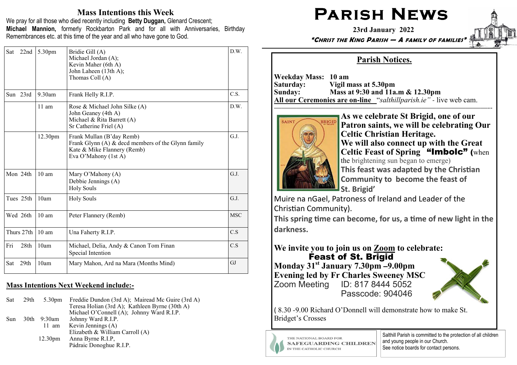## Mass Intentions this Week

We pray for all those who died recently including Betty Duggan, Glenard Crescent; Michael Mannion, formerly Rockbarton Park and for all with Anniversaries, Birthday Remembrances etc. at this time of the year and all who have gone to God.

| 22nd<br>Sat             | 5.30pm           | Bridie Gill (A)<br>Michael Jordan (A);<br>Kevin Maher (6th A)<br>John Laheen (13th A);<br>Thomas Coll (A)                              | D.W.       |
|-------------------------|------------------|----------------------------------------------------------------------------------------------------------------------------------------|------------|
| Sun 23rd                | $9.30$ am        | Frank Helly R.I.P.                                                                                                                     | C.S.       |
|                         | $11 \text{ am}$  | Rose & Michael John Silke (A)<br>John Geaney (4th A)<br>Michael & Rita Barrett (A)<br>Sr Catherine Friel (A)                           | D.W.       |
|                         | 12.30pm          | Frank Mullan (B'day Remb)<br>Frank Glynn (A) & decd members of the Glynn family<br>Kate & Mike Flannery (Remb)<br>Eva O'Mahony (1st A) | G.J.       |
| Mon 24th                | $10 \text{ am}$  | Mary O'Mahony (A)<br>Debbie Jennings (A)<br><b>Holy Souls</b>                                                                          | G.J.       |
| Tues 25th               | 10am             | <b>Holy Souls</b>                                                                                                                      | G.J.       |
| Wed 26th                | 10 <sub>am</sub> | Peter Flannery (Remb)                                                                                                                  | <b>MSC</b> |
| Thurs 27th              | $10 \text{ am}$  | Una Faherty R.I.P.                                                                                                                     | C.S        |
| Fri<br>28 <sub>th</sub> | 10am             | Michael, Delia, Andy & Canon Tom Finan<br>Special Intention                                                                            | C.S        |
| 29 <sub>th</sub><br>Sat | 10am             | Mary Mahon, Ard na Mara (Months Mind)                                                                                                  | GJ         |

#### Mass Intentions Next Weekend include:**-**

| Sat | 29th | 5.30 <sub>pm</sub>  | Freddie Dundon (3rd A); Mairead Mc Guire (3rd A)<br>Teresa Holian (3rd A); Kathleen Byrne (30th A)<br>Michael O'Connell (A); Johnny Ward R.I.P. |
|-----|------|---------------------|-------------------------------------------------------------------------------------------------------------------------------------------------|
| Sun |      | 30th 9:30am         | Johnny Ward R.I.P.<br>11 am Kevin Jennings (A)<br>Elizabeth & William Carroll (A)                                                               |
|     |      | 12.30 <sub>pm</sub> | Anna Byrne R.I.P,<br>Pádraic Donoghue R.I.P.                                                                                                    |

# PARISH NEWS

23rd January 2022



## "CHRIST THE KING PARISH — A FAMILY OF FAMILIES"

## Parish Notices.

Weekday Mass: 10 am Saturday: Vigil mass at 5.30pm Sunday: Mass at 9:30 and 11a.m & 12.30pm All our Ceremonies are on**-**line "salthillparish.ie" *-* live web cam.

—————————————————————————————--



As we celebrate St Brigid, one of our Patron saints, we will be celebrating Our Celtic Christian Heritage. We will also connect up with the Great Celtic Feast of Spring "Imbolc" (when the brightening sun began to emerge)This feast was adapted by the Christian Community to become the feast of St. Brigid'

 Muire na nGael, Patroness of Ireland and Leader of the Christian Community).

This spring time can become, for us, a time of new light in the darkness.

### We invite you to join us on Zoom to celebrate:Feast of St. Brigid

 Monday 31st January 7.30pm **–**9.00pm Evening led by Fr Charles Sweeney MSC Zoom Meeting ID: 817 8444 5052Passcode: 904046



( 8.30 -9.00 Richard O'Donnell will demonstrate how to make St. Bridget's Crosses

THE NATIONAL BOARD FOR **SAFEGUARDING CHILDREN** IN THE CATHOLIC CHURCH

Salthill Parish is committed to the protection of all children and young people in our Church. See notice boards for contact persons.